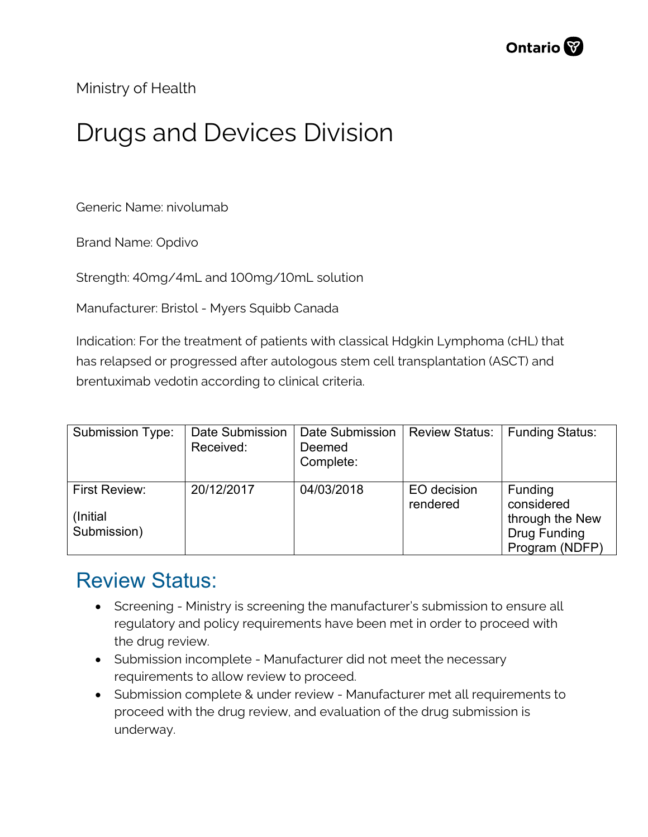

Ministry of Health

## Drugs and Devices Division

Generic Name: nivolumab

Brand Name: Opdivo

Strength: 40mg/4mL and 100mg/10mL solution

Manufacturer: Bristol - Myers Squibb Canada

Indication: For the treatment of patients with classical Hdgkin Lymphoma (cHL) that has relapsed or progressed after autologous stem cell transplantation (ASCT) and brentuximab vedotin according to clinical criteria.

| <b>Submission Type:</b>                   | Date Submission<br>Received: | Date Submission<br>Deemed<br>Complete: | <b>Review Status:</b>   | <b>Funding Status:</b>                                                                   |
|-------------------------------------------|------------------------------|----------------------------------------|-------------------------|------------------------------------------------------------------------------------------|
| First Review:<br>(Initial)<br>Submission) | 20/12/2017                   | 04/03/2018                             | EO decision<br>rendered | <b>Funding</b><br>considered<br>through the New<br><b>Drug Funding</b><br>Program (NDFP) |

## Review Status:

- Screening Ministry is screening the manufacturer's submission to ensure all regulatory and policy requirements have been met in order to proceed with the drug review.
- Submission incomplete Manufacturer did not meet the necessary requirements to allow review to proceed.
- Submission complete & under review Manufacturer met all requirements to proceed with the drug review, and evaluation of the drug submission is underway.